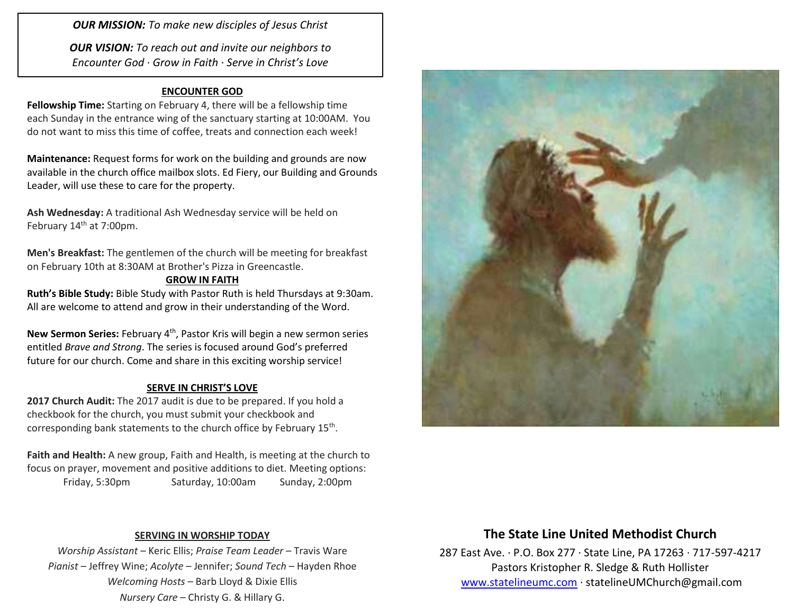*OUR MISSION: To make new disciples of Jesus Christ*

*OUR VISION: To reach out and invite our neighbors to Encounter God · Grow in Faith · Serve in Christ's Love*

### **ENCOUNTER GOD**

**Fellowship Time:** Starting on February 4, there will be a fellowship time each Sunday in the entrance wing of the sanctuary starting at 10:00AM. You do not want to miss this time of coffee, treats and connection each week!

**Maintenance:** Request forms for work on the building and grounds are now available in the church office mailbox slots. Ed Fiery, our Building and Grounds Leader, will use these to care for the property.

**Ash Wednesday:** A traditional Ash Wednesday service will be held on February 14<sup>th</sup> at 7:00pm.

**Men's Breakfast:** The gentlemen of the church will be meeting for breakfast on February 10th at 8:30AM at Brother's Pizza in Greencastle.

#### **GROW IN FAITH**

**Ruth's Bible Study:** Bible Study with Pastor Ruth is held Thursdays at 9:30am. All are welcome to attend and grow in their understanding of the Word.

New Sermon Series: February 4<sup>th</sup>, Pastor Kris will begin a new sermon series entitled *Brave and Strong*. The series is focused around God's preferred future for our church. Come and share in this exciting worship service!

#### **SERVE IN CHRIST'S LOVE**

**2017 Church Audit:** The 2017 audit is due to be prepared. If you hold a checkbook for the church, you must submit your checkbook and corresponding bank statements to the church office by February 15<sup>th</sup>.

**Faith and Health:** A new group, Faith and Health, is meeting at the church to focus on prayer, movement and positive additions to diet. Meeting options: Friday, 5:30pm Saturday, 10:00am Sunday, 2:00pm



#### **SERVING IN WORSHIP TODAY**

*Worship Assistant* – Keric Ellis; *Praise Team Leader* – Travis Ware *Pianist* – Jeffrey Wine; *Acolyte* – Jennifer; *Sound Tech* – Hayden Rhoe *Welcoming Hosts* – Barb Lloyd & Dixie Ellis *Nursery Care* – Christy G. & Hillary G.

## **The State Line United Methodist Church**

287 East Ave. · P.O. Box 277 · State Line, PA 17263 · 717-597-4217 Pastors Kristopher R. Sledge & Ruth Hollister [www.statelineumc.com](http://www.statelineumc.com/) · statelineUMChurch@gmail.com